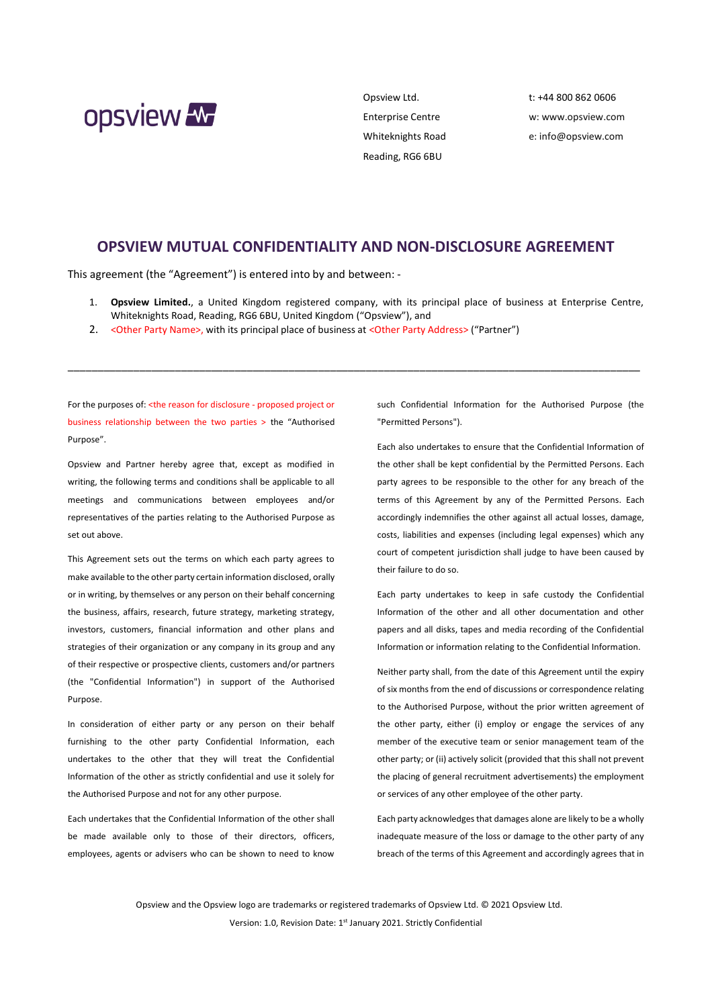

Opsview Ltd. Enterprise Centre Whiteknights Road Reading, RG6 6BU

t: +44 800 862 0606 w: [www.opsview.com](http://www.opsview.com/) e: [info@opsview.com](mailto:info@opsview.com)

## **OPSVIEW MUTUAL CONFIDENTIALITY AND NON-DISCLOSURE AGREEMENT**

This agreement (the "Agreement") is entered into by and between: -

1. **Opsview Limited.**, a United Kingdom registered company, with its principal place of business at Enterprise Centre, Whiteknights Road, Reading, RG6 6BU, United Kingdom ("Opsview"), and

\_\_\_\_\_\_\_\_\_\_\_\_\_\_\_\_\_\_\_\_\_\_\_\_\_\_\_\_\_\_\_\_\_\_\_\_\_\_\_\_\_\_\_\_\_\_\_\_\_\_\_\_\_\_\_\_\_\_\_\_\_\_\_\_\_\_\_\_\_\_\_\_\_\_\_\_\_\_\_\_\_\_\_\_\_\_\_\_\_\_\_\_\_\_\_\_

2. <Other Party Name>, with its principal place of business at <Other Party Address> ("Partner")

For the purposes of: < the reason for disclosure - proposed project or business relationship between the two parties > the "Authorised Purpose".

Opsview and Partner hereby agree that, except as modified in writing, the following terms and conditions shall be applicable to all meetings and communications between employees and/or representatives of the parties relating to the Authorised Purpose as set out above.

This Agreement sets out the terms on which each party agrees to make available to the other party certain information disclosed, orally or in writing, by themselves or any person on their behalf concerning the business, affairs, research, future strategy, marketing strategy, investors, customers, financial information and other plans and strategies of their organization or any company in its group and any of their respective or prospective clients, customers and/or partners (the "Confidential Information") in support of the Authorised Purpose.

In consideration of either party or any person on their behalf furnishing to the other party Confidential Information, each undertakes to the other that they will treat the Confidential Information of the other as strictly confidential and use it solely for the Authorised Purpose and not for any other purpose.

Each undertakes that the Confidential Information of the other shall be made available only to those of their directors, officers, employees, agents or advisers who can be shown to need to know

such Confidential Information for the Authorised Purpose (the "Permitted Persons").

Each also undertakes to ensure that the Confidential Information of the other shall be kept confidential by the Permitted Persons. Each party agrees to be responsible to the other for any breach of the terms of this Agreement by any of the Permitted Persons. Each accordingly indemnifies the other against all actual losses, damage, costs, liabilities and expenses (including legal expenses) which any court of competent jurisdiction shall judge to have been caused by their failure to do so.

Each party undertakes to keep in safe custody the Confidential Information of the other and all other documentation and other papers and all disks, tapes and media recording of the Confidential Information or information relating to the Confidential Information.

Neither party shall, from the date of this Agreement until the expiry of six months from the end of discussions or correspondence relating to the Authorised Purpose, without the prior written agreement of the other party, either (i) employ or engage the services of any member of the executive team or senior management team of the other party; or (ii) actively solicit (provided that this shall not prevent the placing of general recruitment advertisements) the employment or services of any other employee of the other party.

Each party acknowledges that damages alone are likely to be a wholly inadequate measure of the loss or damage to the other party of any breach of the terms of this Agreement and accordingly agrees that in

Opsview and the Opsview logo are trademarks or registered trademarks of Opsview Ltd. © 2021 Opsview Ltd. Version: 1.0, Revision Date: 1<sup>st</sup> January 2021. Strictly Confidential